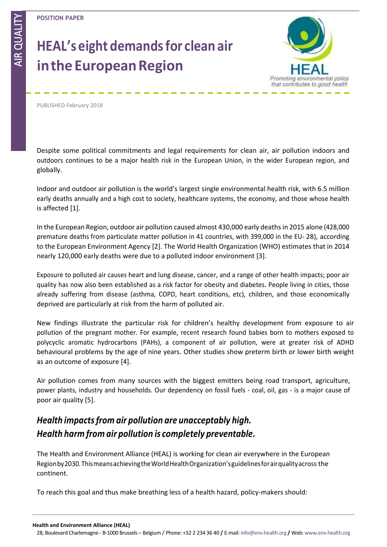AIR QUALITY AIR OUAI

# **HEAL's eight demandsfor clean air intheEuropeanRegion**



PUBLISHED February 2018

Despite some political commitments and legal requirements for clean air, air pollution indoors and outdoors continues to be a major health risk in the European Union, in the wider European region, and globally.

Indoor and outdoor air pollution is the world's largest single environmental health risk, with 6.5 million early deaths annually and a high cost to society, healthcare systems, the economy, and those whose health is affected [1].

In the European Region, outdoor air pollution caused almost 430,000 early deathsin 2015 alone (428,000 premature deaths from particulate matter pollution in 41 countries, with 399,000 in the EU- 28), according to the European Environment Agency [2]. The World Health Organization (WHO) estimates that in 2014 nearly 120,000 early deaths were due to a polluted indoor environment [3].

Exposure to polluted air causes heart and lung disease, cancer, and a range of other health impacts; poor air quality has now also been established as a risk factor for obesity and diabetes. People living in cities, those already suffering from disease (asthma, COPD, heart conditions, etc), children, and those economically deprived are particularly at risk from the harm of polluted air.

New findings illustrate the particular risk for children's healthy development from exposure to air pollution of the pregnant mother. For example, recent research found babies born to mothers exposed to polycyclic aromatic hydrocarbons (PAHs), a component of air pollution, were at greater risk of ADHD behavioural problems by the age of nine years. Other studies show preterm birth or lower birth weight as an outcome of exposure [4].

Air pollution comes from many sources with the biggest emitters being road transport, agriculture, power plants, industry and households. Our dependency on fossil fuels - coal, oil, gas - is a major cause of poor air quality [5].

## *Health impactsfrom air pollution are unacceptably high. Health harm from air pollution is completely preventable.*

The Health and Environment Alliance (HEAL) is working for clean air everywhere in the European Regionby2030.ThismeansachievingtheWorldHealthOrganization'sguidelinesforairqualityacross the continent.

To reach this goal and thus make breathing less of a health hazard, policy-makers should: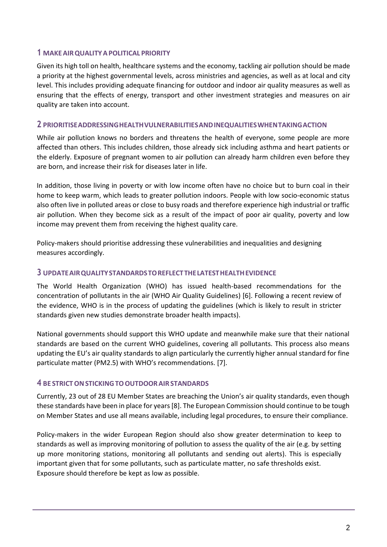### **1 MAKEAIRQUALITYAPOLITICAL PRIORITY**

Given its high toll on health, healthcare systems and the economy, tackling air pollution should be made a priority at the highest governmental levels, across ministries and agencies, as well as at local and city level. This includes providing adequate financing for outdoor and indoor air quality measures as well as ensuring that the effects of energy, transport and other investment strategies and measures on air quality are taken into account.

#### **2 PRIORITISEADDRESSINGHEALTHVULNERABILITIESANDINEQUALITIESWHENTAKINGACTION**

While air pollution knows no borders and threatens the health of everyone, some people are more affected than others. This includes children, those already sick including asthma and heart patients or the elderly. Exposure of pregnant women to air pollution can already harm children even before they are born, and increase their risk for diseases later in life.

In addition, those living in poverty or with low income often have no choice but to burn coal in their home to keep warm, which leads to greater pollution indoors. People with low socio-economic status also often live in polluted areas or close to busy roads and therefore experience high industrial or traffic air pollution. When they become sick as a result of the impact of poor air quality, poverty and low income may prevent them from receiving the highest quality care.

Policy-makers should prioritise addressing these vulnerabilities and inequalities and designing measures accordingly.

### **3 UPDATEAIRQUALITYSTANDARDSTOREFLECTTHELATESTHEALTHEVIDENCE**

The World Health Organization (WHO) has issued health-based recommendations for the concentration of pollutants in the air (WHO Air Quality Guidelines) [6]. Following a recent review of the evidence, WHO is in the process of updating the guidelines (which is likely to result in stricter standards given new studies demonstrate broader health impacts).

National governments should support this WHO update and meanwhile make sure that their national standards are based on the current WHO guidelines, covering all pollutants. This process also means updating the EU's air quality standards to align particularly the currently higher annual standard for fine particulate matter (PM2.5) with WHO's recommendations. [7].

### **4 BE STRICTONSTICKINGTOOUTDOORAIRSTANDARDS**

Currently, 23 out of 28 EU Member States are breaching the Union's air quality standards, even though these standards have been in place for years[8]. The European Commission should continue to be tough on Member States and use all means available, including legal procedures, to ensure their compliance.

Policy-makers in the wider European Region should also show greater determination to keep to standards as well as improving monitoring of pollution to assess the quality of the air (e.g. by setting up more monitoring stations, monitoring all pollutants and sending out alerts). This is especially important given that for some pollutants, such as particulate matter, no safe thresholds exist. Exposure should therefore be kept as low as possible.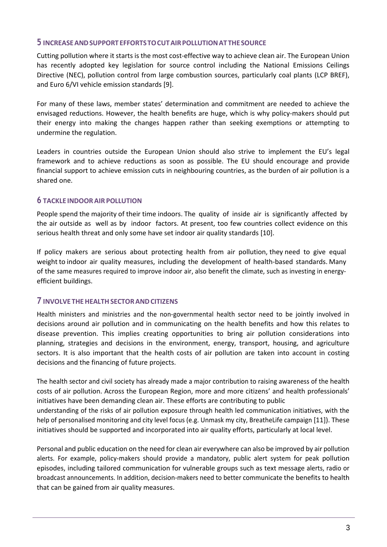#### **5 INCREASEANDSUPPORTEFFORTSTOCUTAIRPOLLUTIONAT THESOURCE**

Cutting pollution where it starts is the most cost-effective way to achieve clean air. The European Union has recently adopted key legislation for source control including the National Emissions Ceilings Directive (NEC), pollution control from large combustion sources, particularly coal plants (LCP BREF), and Euro 6/VI vehicle emission standards [9].

For many of these laws, member states' determination and commitment are needed to achieve the envisaged reductions. However, the health benefits are huge, which is why policy-makers should put their energy into making the changes happen rather than seeking exemptions or attempting to undermine the regulation.

Leaders in countries outside the European Union should also strive to implement the EU's legal framework and to achieve reductions as soon as possible. The EU should encourage and provide financial support to achieve emission cuts in neighbouring countries, as the burden of air pollution is a shared one.

#### **6 TACKLE INDOORAIR POLLUTION**

People spend the majority of their time indoors. The quality of inside air is significantly affected by the air outside as well as by indoor factors. At present, too few countries collect evidence on this serious health threat and only some have set indoor air quality standards [10].

If policy makers are serious about protecting health from air pollution, they need to give equal weight to indoor air quality measures, including the development of health-based standards. Many of the same measures required to improve indoor air, also benefit the climate, such as investing in energyefficient buildings.

#### **7 INVOLVE THEHEALTHSECTORANDCITIZENS**

Health ministers and ministries and the non-governmental health sector need to be jointly involved in decisions around air pollution and in communicating on the health benefits and how this relates to disease prevention. This implies creating opportunities to bring air pollution considerations into planning, strategies and decisions in the environment, energy, transport, housing, and agriculture sectors. It is also important that the health costs of air pollution are taken into account in costing decisions and the financing of future projects.

The health sector and civil society has already made a major contribution to raising awareness of the health costs of air pollution. Across the European Region, more and more citizens' and health professionals' initiatives have been demanding clean air. These efforts are contributing to public understanding of the risks of air pollution exposure through health led communication initiatives, with the help of personalised monitoring and city level focus (e.g. Unmask my city, BreatheLife campaign [11]). These

initiatives should be supported and incorporated into air quality efforts, particularly at local level.

Personal and public education on the need for clean air everywhere can also be improved by air pollution alerts. For example, policy-makers should provide a mandatory, public alert system for peak pollution episodes, including tailored communication for vulnerable groups such as text message alerts, radio or broadcast announcements. In addition, decision-makers need to better communicate the benefits to health that can be gained from air quality measures.